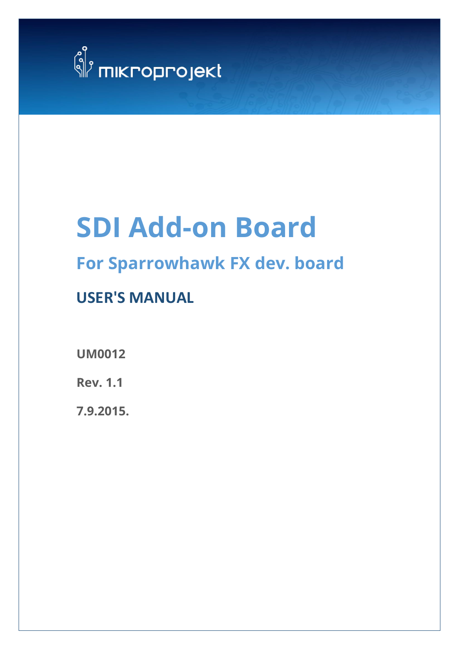

# **SDI Add-on Board**

## **For Sparrowhawk FX dev. board**

## **USER'S MANUAL**

**UM0012**

**Rev. 1.1**

**7.9.2015.**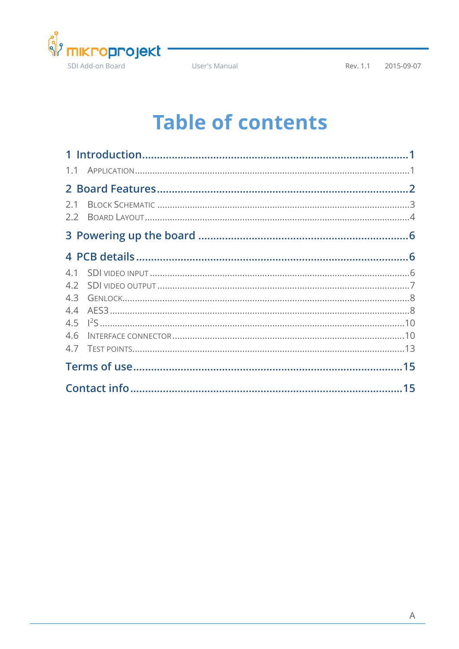

User's Manual

## **Table of contents**

| 2.1 |  |  |  |  |
|-----|--|--|--|--|
|     |  |  |  |  |
|     |  |  |  |  |
|     |  |  |  |  |
|     |  |  |  |  |
|     |  |  |  |  |
|     |  |  |  |  |
|     |  |  |  |  |
|     |  |  |  |  |
| 4.6 |  |  |  |  |
|     |  |  |  |  |
|     |  |  |  |  |
|     |  |  |  |  |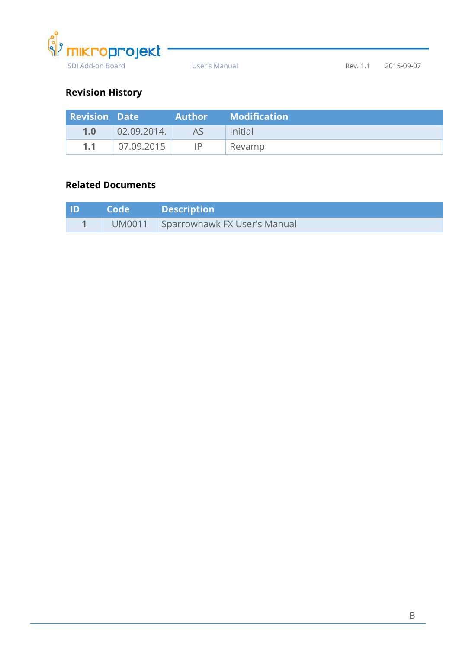

#### **Revision History**

| <b>Revision Date</b> |                     |     | <b>Author</b> Modification |
|----------------------|---------------------|-----|----------------------------|
| 1.0                  | 02.09.2014.         | AS. | Initial                    |
| 1.1                  | $\sqrt{07.09.2015}$ | ΙP  | Revamp                     |

#### **Related Documents**

| <b>ID</b> | <b>Code</b> Description             |
|-----------|-------------------------------------|
|           | UM0011 Sparrowhawk FX User's Manual |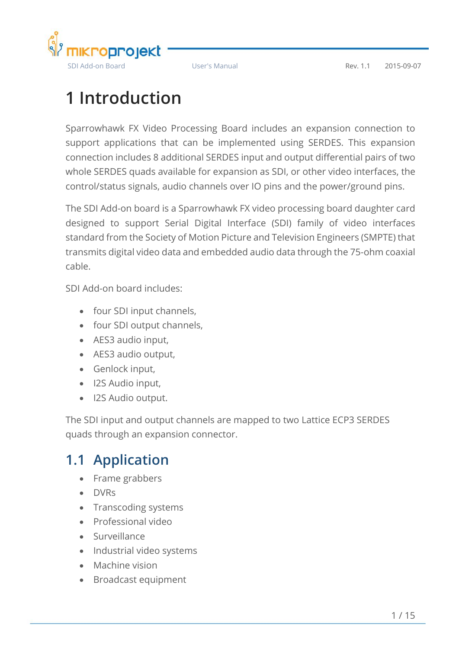

## <span id="page-3-0"></span>**1 Introduction**

Sparrowhawk FX Video Processing Board includes an expansion connection to support applications that can be implemented using SERDES. This expansion connection includes 8 additional SERDES input and output differential pairs of two whole SERDES quads available for expansion as SDI, or other video interfaces, the control/status signals, audio channels over IO pins and the power/ground pins.

The SDI Add-on board is a Sparrowhawk FX video processing board daughter card designed to support Serial Digital Interface (SDI) family of video interfaces standard from the Society of Motion Picture and Television Engineers (SMPTE) that transmits digital video data and embedded audio data through the 75-ohm coaxial cable.

SDI Add-on board includes:

- four SDI input channels,
- four SDI output channels,
- AES3 audio input,
- AES3 audio output,
- Genlock input,
- I2S Audio input,
- I2S Audio output.

The SDI input and output channels are mapped to two Lattice ECP3 SERDES quads through an expansion connector.

### <span id="page-3-1"></span>**1.1 Application**

- Frame grabbers
- DVRs
- Transcoding systems
- Professional video
- Surveillance
- Industrial video systems
- Machine vision
- Broadcast equipment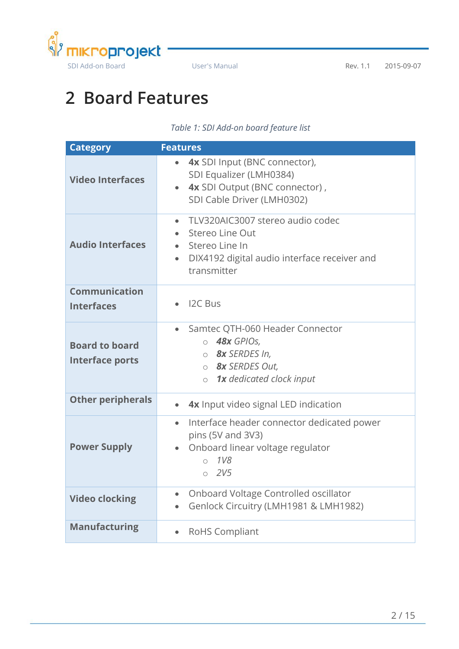

## <span id="page-4-0"></span>**2 Board Features**

#### *Table 1: SDI Add-on board feature list*

<span id="page-4-1"></span>

| <b>Category</b>                                 | <b>Features</b>                                                                                                                                                |  |  |  |
|-------------------------------------------------|----------------------------------------------------------------------------------------------------------------------------------------------------------------|--|--|--|
| <b>Video Interfaces</b>                         | 4x SDI Input (BNC connector),<br>$\bullet$<br>SDI Equalizer (LMH0384)<br>4x SDI Output (BNC connector),<br>SDI Cable Driver (LMH0302)                          |  |  |  |
| <b>Audio Interfaces</b>                         | TLV320AIC3007 stereo audio codec<br>$\bullet$<br>Stereo Line Out<br>Stereo Line In<br>DIX4192 digital audio interface receiver and<br>$\bullet$<br>transmitter |  |  |  |
| <b>Communication</b><br><b>Interfaces</b>       | I2C Bus                                                                                                                                                        |  |  |  |
| <b>Board to board</b><br><b>Interface ports</b> | Samtec QTH-060 Header Connector<br>$\bullet$<br>$\circ$ 48x GPIOs,<br>o <b>8x</b> SERDES In,<br>o <b>8x</b> SERDES Out,<br>$\circ$ 1x dedicated clock input    |  |  |  |
| <b>Other peripherals</b>                        | 4x Input video signal LED indication                                                                                                                           |  |  |  |
| <b>Power Supply</b>                             | Interface header connector dedicated power<br>$\bullet$<br>pins (5V and 3V3)<br>Onboard linear voltage regulator<br>$\circ$ 1V8<br>0.2V5                       |  |  |  |
| <b>Video clocking</b>                           | Onboard Voltage Controlled oscillator<br>Genlock Circuitry (LMH1981 & LMH1982)                                                                                 |  |  |  |
| <b>Manufacturing</b>                            | <b>RoHS Compliant</b>                                                                                                                                          |  |  |  |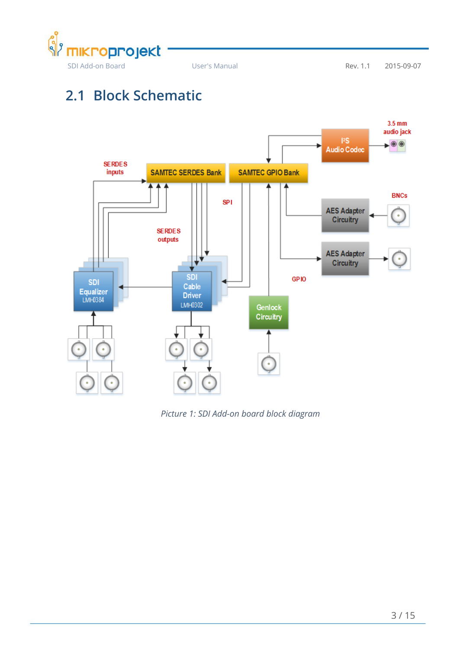

### <span id="page-5-0"></span>**2.1 Block Schematic**



<span id="page-5-1"></span>*Picture 1: SDI Add-on board block diagram*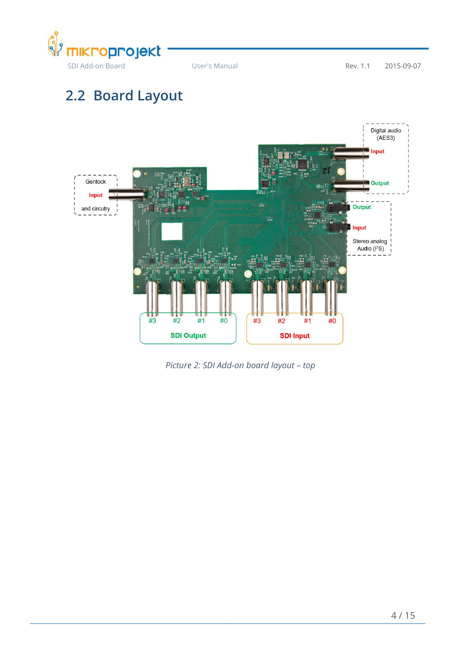

## <span id="page-6-0"></span>**2.2 Board Layout**



<span id="page-6-1"></span>*Picture 2: SDI Add-on board layout – top*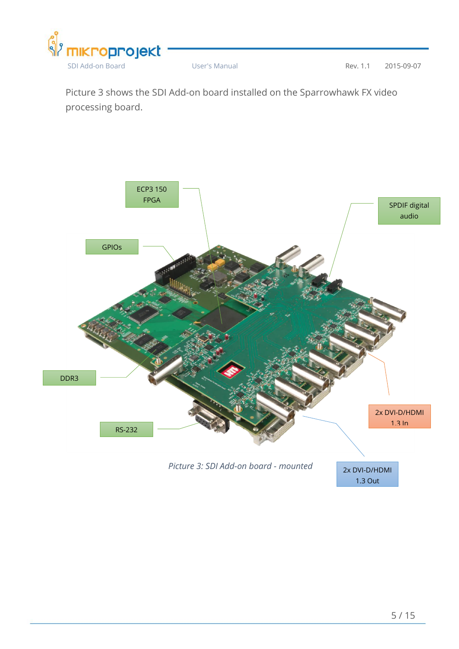

Picture 3 shows the SDI Add-on board installed on the Sparrowhawk FX video processing board.



<span id="page-7-0"></span>

2x DVI-D/HDMI 1.3 Out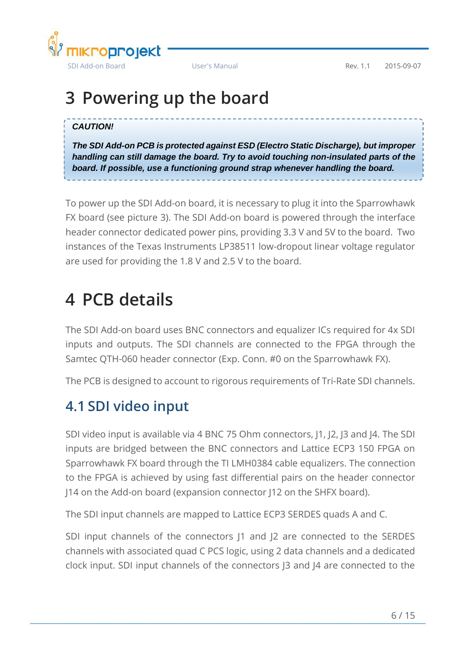

## <span id="page-8-0"></span>**3 Powering up the board**

#### *CAUTION!*

*The SDI Add-on PCB is protected against ESD (Electro Static Discharge), but improper handling can still damage the board. Try to avoid touching non-insulated parts of the board. If possible, use a functioning ground strap whenever handling the board.*

To power up the SDI Add-on board, it is necessary to plug it into the Sparrowhawk FX board (see picture 3). The SDI Add-on board is powered through the interface header connector dedicated power pins, providing 3.3 V and 5V to the board. Two instances of the Texas Instruments LP38511 low-dropout linear voltage regulator are used for providing the 1.8 V and 2.5 V to the board.

## <span id="page-8-1"></span>**4 PCB details**

The SDI Add-on board uses BNC connectors and equalizer ICs required for 4x SDI inputs and outputs. The SDI channels are connected to the FPGA through the Samtec QTH-060 header connector (Exp. Conn. #0 on the Sparrowhawk FX).

The PCB is designed to account to rigorous requirements of Tri-Rate SDI channels.

### <span id="page-8-2"></span>**4.1 SDI video input**

SDI video input is available via 4 BNC 75 Ohm connectors, J1, J2, J3 and J4. The SDI inputs are bridged between the BNC connectors and Lattice ECP3 150 FPGA on Sparrowhawk FX board through the TI LMH0384 cable equalizers. The connection to the FPGA is achieved by using fast differential pairs on the header connector J14 on the Add-on board (expansion connector J12 on the SHFX board).

The SDI input channels are mapped to Lattice ECP3 SERDES quads A and C.

SDI input channels of the connectors  $|1 \rangle$  and  $|2 \rangle$  are connected to the SERDES channels with associated quad C PCS logic, using 2 data channels and a dedicated clock input. SDI input channels of the connectors J3 and J4 are connected to the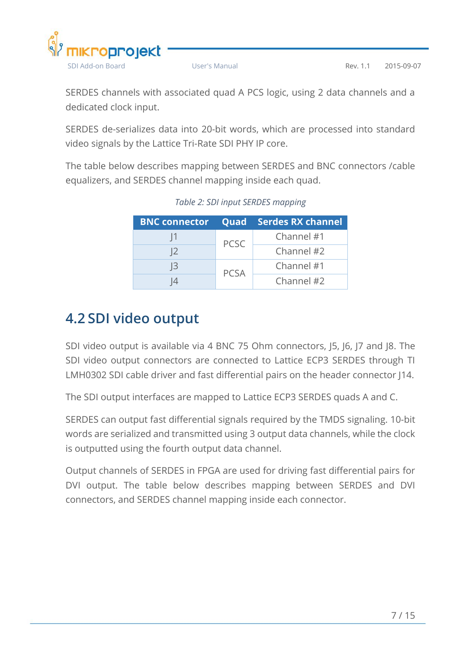

SERDES channels with associated quad A PCS logic, using 2 data channels and a dedicated clock input.

SERDES de-serializes data into 20-bit words, which are processed into standard video signals by the Lattice Tri-Rate SDI PHY IP core.

<span id="page-9-1"></span>The table below describes mapping between SERDES and BNC connectors /cable equalizers, and SERDES channel mapping inside each quad.

|                |             | <b>BNC connector Quad Serdes RX channel</b> |  |
|----------------|-------------|---------------------------------------------|--|
| И              | <b>PCSC</b> | Channel #1                                  |  |
| 12             |             | Channel #2                                  |  |
| $\overline{3}$ | <b>PCSA</b> | Channel #1                                  |  |
|                |             | Channel #2                                  |  |

#### *Table 2: SDI input SERDES mapping*

### <span id="page-9-0"></span>**4.2 SDI video output**

SDI video output is available via 4 BNC 75 Ohm connectors, J5, J6, J7 and J8. The SDI video output connectors are connected to Lattice ECP3 SERDES through TI LMH0302 SDI cable driver and fast differential pairs on the header connector J14.

The SDI output interfaces are mapped to Lattice ECP3 SERDES quads A and C.

SERDES can output fast differential signals required by the TMDS signaling. 10-bit words are serialized and transmitted using 3 output data channels, while the clock is outputted using the fourth output data channel.

Output channels of SERDES in FPGA are used for driving fast differential pairs for DVI output. The table below describes mapping between SERDES and DVI connectors, and SERDES channel mapping inside each connector.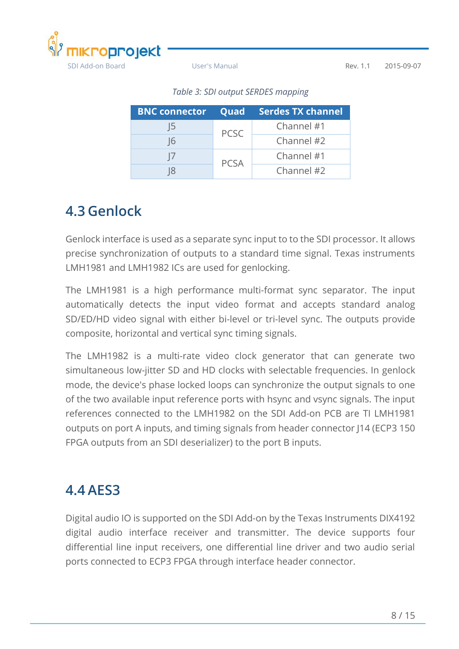<span id="page-10-2"></span>

|    |             | <b>BNC connector Quad Serdes TX channel</b> |
|----|-------------|---------------------------------------------|
| 15 | <b>PCSC</b> | Channel #1                                  |
| 16 |             | Channel #2                                  |
|    | <b>PCSA</b> | Channel #1                                  |
|    |             | Channel #2                                  |

*Table 3: SDI output SERDES mapping*

### <span id="page-10-0"></span>**4.3 Genlock**

Genlock interface is used as a separate sync input to to the SDI processor. It allows precise synchronization of outputs to a standard time signal. Texas instruments LMH1981 and LMH1982 ICs are used for genlocking.

The LMH1981 is a high performance multi-format sync separator. The input automatically detects the input video format and accepts standard analog SD/ED/HD video signal with either bi-level or tri-level sync. The outputs provide composite, horizontal and vertical sync timing signals.

The LMH1982 is a multi-rate video clock generator that can generate two simultaneous low-jitter SD and HD clocks with selectable frequencies. In genlock mode, the device's phase locked loops can synchronize the output signals to one of the two available input reference ports with hsync and vsync signals. The input references connected to the LMH1982 on the SDI Add-on PCB are TI LMH1981 outputs on port A inputs, and timing signals from header connector J14 (ECP3 150 FPGA outputs from an SDI deserializer) to the port B inputs.

### <span id="page-10-1"></span>**4.4 AES3**

Digital audio IO is supported on the SDI Add-on by the Texas Instruments DIX4192 digital audio interface receiver and transmitter. The device supports four differential line input receivers, one differential line driver and two audio serial ports connected to ECP3 FPGA through interface header connector.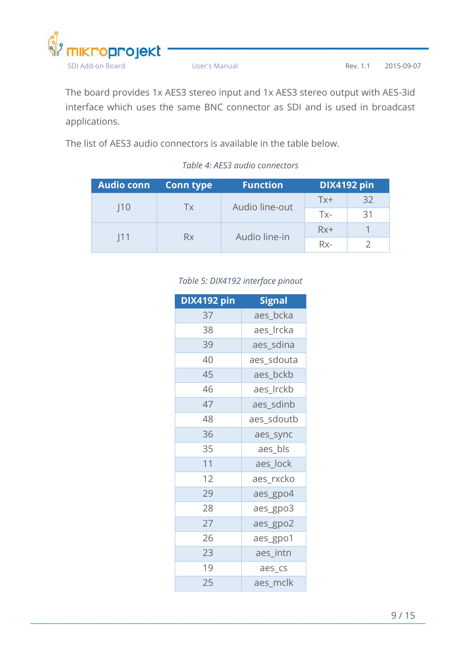

The board provides 1x AES3 stereo input and 1x AES3 stereo output with AES-3id interface which uses the same BNC connector as SDI and is used in broadcast applications.

<span id="page-11-0"></span>The list of AES3 audio connectors is available in the table below.

#### *Table 4: AES3 audio connectors*

<span id="page-11-1"></span>

| <b>Audio conn</b> | Conn type | <b>Function</b> | <b>DIX4192 pin</b> |    |  |
|-------------------|-----------|-----------------|--------------------|----|--|
| 10                | Tx        | Audio line-out  | $Tx+$              | 32 |  |
|                   |           |                 | $Tx -$             | 31 |  |
| 11                |           | Audio line-in   | $Rx+$              |    |  |
|                   | Rx        |                 | $Rx-$              |    |  |

#### *Table 5: DIX4192 interface pinout*

| DIX4192 pin | <b>Signal</b> |
|-------------|---------------|
| 37          | aes_bcka      |
| 38          | aes Ircka     |
| 39          | aes_sdina     |
| 40          | aes_sdouta    |
| 45          | aes bckb      |
| 46          | aes Irckb     |
| 47          | aes sdinb     |
| 48          | aes_sdoutb    |
| 36          | aes_sync      |
| 35          | aes_bls       |
| 11          | aes lock      |
| 12          | aes_rxcko     |
| 29          | aes_gpo4      |
| 28          | aes_gpo3      |
| 27          | aes_gpo2      |
| 26          | aes_gpo1      |
| 23          | aes intn      |
| 19          | aes_cs        |
| 25          | aes_mclk      |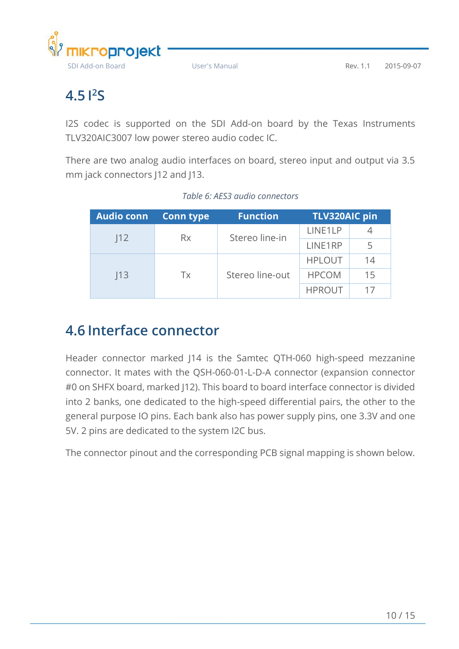

### <span id="page-12-0"></span>**4.5 I 2S**

I2S codec is supported on the SDI Add-on board by the Texas Instruments TLV320AIC3007 low power stereo audio codec IC.

There are two analog audio interfaces on board, stereo input and output via 3.5 mm jack connectors J12 and J13.

<span id="page-12-2"></span>

| Audio conn | <b>Conn type</b>      | <b>Function</b> | <b>TLV320AIC pin</b> |    |  |
|------------|-----------------------|-----------------|----------------------|----|--|
| 12         | <b>Rx</b>             | Stereo line-in  | LINE1LP              |    |  |
|            |                       | LINE1RP         | 5                    |    |  |
|            | Stereo line-out<br>Tx |                 | <b>HPLOUT</b>        | 14 |  |
| 13         |                       |                 | <b>HPCOM</b>         | 15 |  |
|            |                       |                 | <b>HPROUT</b>        | 17 |  |

### <span id="page-12-1"></span>**4.6 Interface connector**

Header connector marked J14 is the Samtec QTH-060 high-speed mezzanine connector. It mates with the QSH-060-01-L-D-A connector (expansion connector #0 on SHFX board, marked J12). This board to board interface connector is divided into 2 banks, one dedicated to the high-speed differential pairs, the other to the general purpose IO pins. Each bank also has power supply pins, one 3.3V and one 5V. 2 pins are dedicated to the system I2C bus.

The connector pinout and the corresponding PCB signal mapping is shown below.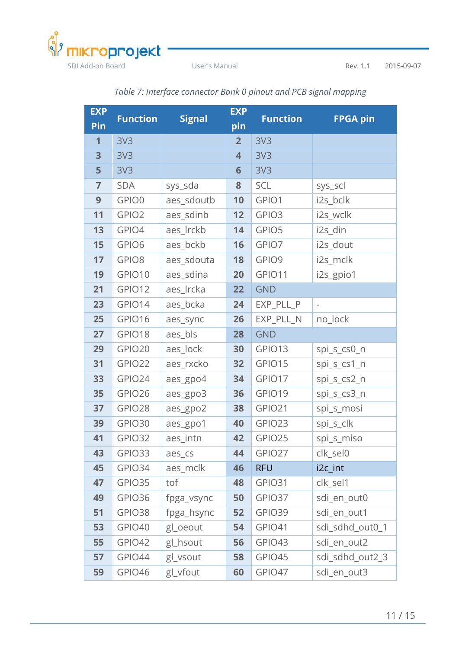

User's Manual

Rev. 1.1 2015-09-07

<span id="page-13-0"></span>

| <b>EXP</b>     | <b>Function</b>   | <b>Signal</b> | <b>EXP</b>              | <b>Function</b>       | <b>FPGA pin</b> |  |
|----------------|-------------------|---------------|-------------------------|-----------------------|-----------------|--|
| Pin            |                   |               | pin                     |                       |                 |  |
| 1              | 3V <sub>3</sub>   |               | $\overline{2}$          | 3V <sub>3</sub>       |                 |  |
| 3              | 3V <sub>3</sub>   |               | $\overline{\mathbf{4}}$ | 3V <sub>3</sub>       |                 |  |
| 5              | 3V <sub>3</sub>   |               | $6\phantom{1}6$         | 3V <sub>3</sub>       |                 |  |
| $\overline{7}$ | <b>SDA</b>        | sys_sda       | 8                       | <b>SCL</b>            | sys_scl         |  |
| 9              | GPIO0             | aes_sdoutb    | 10                      | GPIO1                 | i2s_bclk        |  |
| 11             | GPIO <sub>2</sub> | aes_sdinb     | 12                      | GPIO3                 | i2s_wclk        |  |
| 13             | GPIO4             | aes_lrckb     | 14                      | GPIO5                 | i2s_din         |  |
| 15             | GPIO6             | aes_bckb      | 16                      | GPIO7                 | i2s_dout        |  |
| 17             | GPIO8             | aes_sdouta    | 18                      | GPIO9                 | i2s_mclk        |  |
| 19             | GPIO10            | aes_sdina     | 20                      | GPIO11                | i2s_gpio1       |  |
| 21             | GPIO12            | aes_Ircka     | 22                      | <b>GND</b>            |                 |  |
| 23             | GPIO14            | aes_bcka      | 24                      | EXP_PLL_P             |                 |  |
| 25             | GPIO16            | aes_sync      | 26                      | EXP_PLL_N<br>no_lock  |                 |  |
| 27             | GPIO18            | aes_bls       | 28                      | <b>GND</b>            |                 |  |
| 29             | GPIO20            | aes_lock      | 30                      | GPIO13                | spi_s_cs0_n     |  |
| 31             | GPIO22            | aes_rxcko     | 32                      | GPIO15                | spi_s_cs1_n     |  |
| 33             | GPIO24            | aes_gpo4      | 34                      | GPIO17                | spi_s_cs2_n     |  |
| 35             | GPIO26            | aes_gpo3      | 36                      | GPIO19                | spi_s_cs3_n     |  |
| 37             | GPIO28            | aes_gpo2      | 38                      | GPIO21                | spi_s_mosi      |  |
| 39             | GPIO30            | aes_gpo1      | 40                      | GPIO23                | spi_s_clk       |  |
| 41             | GPIO32            | aes_intn      | 42                      | GPIO25                | spi_s_miso      |  |
| 43             | GPIO33            | aes_cs        | 44                      | GPIO27                | clk_sel0        |  |
| 45             | GPIO34            | aes_mclk      | 46                      | <b>RFU</b>            | i2c_int         |  |
| 47             | GPIO35            | tof           | 48                      | GPIO31                | clk_sel1        |  |
| 49             | GPIO36            | fpga_vsync    | 50                      | GPIO37                | sdi_en_out0     |  |
| 51             | GPIO38            | fpga_hsync    | 52                      | GPIO39                | sdi_en_out1     |  |
| 53             | GPIO40            | gl_oeout      | 54                      | GPIO41                | sdi sdhd out0 1 |  |
| 55             | GPIO42            | gl_hsout      | 56                      | GPIO43                | sdi_en_out2     |  |
| 57             | GPIO44            | gl_vsout      | 58                      | GPIO45                | sdi_sdhd_out2_3 |  |
| 59             | GPIO46            | gl_vfout      | 60                      | GPIO47<br>sdi_en_out3 |                 |  |

Table 7: Interface connector Bank 0 pinout and PCB signal mapping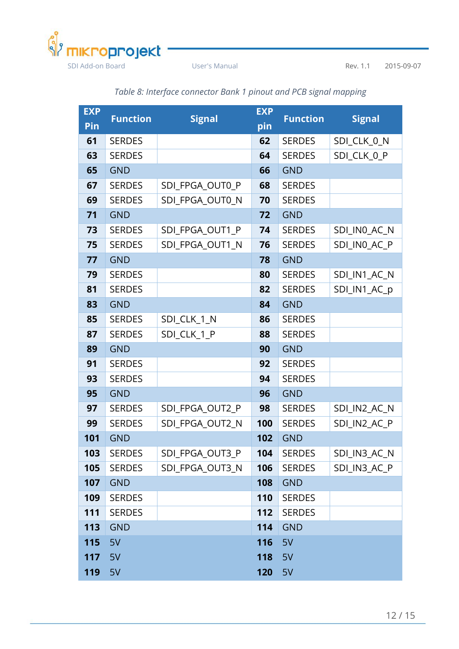

<span id="page-14-0"></span>

| <b>EXP</b> | <b>Function</b> | <b>Signal</b>   | <b>EXP</b> | <b>Function</b> | <b>Signal</b> |
|------------|-----------------|-----------------|------------|-----------------|---------------|
| Pin        |                 |                 | pin        |                 |               |
| 61         | <b>SERDES</b>   |                 | 62         | <b>SERDES</b>   | SDI_CLK_0_N   |
| 63         | <b>SERDES</b>   |                 | 64         | <b>SERDES</b>   | SDI_CLK_0_P   |
| 65         | <b>GND</b>      |                 | 66         | <b>GND</b>      |               |
| 67         | <b>SERDES</b>   | SDI FPGA OUT0 P | 68         | <b>SERDES</b>   |               |
| 69         | <b>SERDES</b>   | SDI_FPGA_OUT0_N | 70         | <b>SERDES</b>   |               |
| 71         | <b>GND</b>      |                 | 72         | <b>GND</b>      |               |
| 73         | <b>SERDES</b>   | SDI_FPGA_OUT1_P | 74         | <b>SERDES</b>   | SDI_IN0_AC_N  |
| 75         | <b>SERDES</b>   | SDI_FPGA_OUT1_N | 76         | <b>SERDES</b>   | SDI_INO_AC_P  |
| 77         | <b>GND</b>      |                 | 78         | <b>GND</b>      |               |
| 79         | <b>SERDES</b>   |                 | 80         | <b>SERDES</b>   | SDI_IN1_AC_N  |
| 81         | <b>SERDES</b>   |                 | 82         | <b>SERDES</b>   | SDI_IN1_AC_p  |
| 83         | <b>GND</b>      |                 | 84         | <b>GND</b>      |               |
| 85         | <b>SERDES</b>   | SDI_CLK_1_N     | 86         | <b>SERDES</b>   |               |
| 87         | <b>SERDES</b>   | SDI_CLK_1_P     | 88         | <b>SERDES</b>   |               |
| 89         | <b>GND</b>      |                 | 90         | <b>GND</b>      |               |
| 91         | <b>SERDES</b>   |                 | 92         | <b>SERDES</b>   |               |
| 93         | <b>SERDES</b>   |                 | 94         | <b>SERDES</b>   |               |
| 95         | <b>GND</b>      |                 | 96         | <b>GND</b>      |               |
| 97         | <b>SERDES</b>   | SDI FPGA OUT2 P | 98         | <b>SERDES</b>   | SDI_IN2_AC_N  |
| 99         | <b>SERDES</b>   | SDI FPGA OUT2 N | 100        | <b>SERDES</b>   | SDI IN2 AC P  |
| 101        | <b>GND</b>      |                 | 102        | <b>GND</b>      |               |
| 103        | <b>SERDES</b>   | SDI FPGA OUT3 P | 104        | <b>SERDES</b>   | SDI_IN3_AC_N  |
| 105        | <b>SERDES</b>   | SDI_FPGA_OUT3_N | 106        | <b>SERDES</b>   | SDI_IN3_AC_P  |
| 107        | <b>GND</b>      |                 | 108        | <b>GND</b>      |               |
| 109        | <b>SERDES</b>   |                 | 110        | <b>SERDES</b>   |               |
| 111        | <b>SERDES</b>   |                 | 112        | <b>SERDES</b>   |               |
| 113        | <b>GND</b>      |                 | 114        | <b>GND</b>      |               |
| 115        | 5V              |                 | 116        | 5V              |               |
| 117        | 5V              |                 | 118        | 5V              |               |
| 119        | 5V              |                 | 120        | 5V              |               |

#### *Table 8: Interface connector Bank 1 pinout and PCB signal mapping*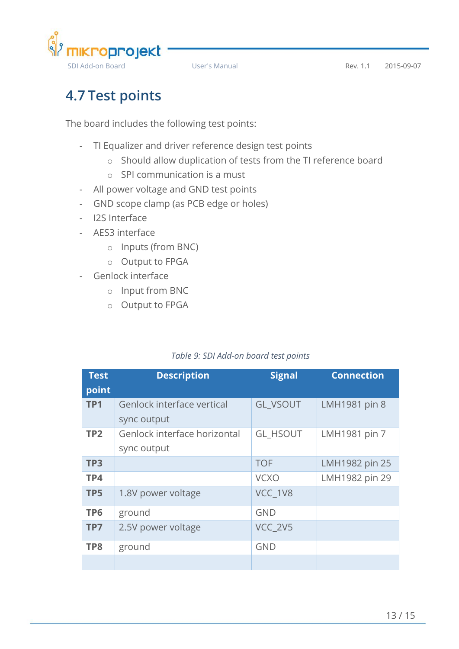

## <span id="page-15-0"></span>**4.7 Test points**

The board includes the following test points:

- TI Equalizer and driver reference design test points
	- o Should allow duplication of tests from the TI reference board
	- o SPI communication is a must
- All power voltage and GND test points
- GND scope clamp (as PCB edge or holes)
- I2S Interface
- AES3 interface
	- o Inputs (from BNC)
	- o Output to FPGA
- Genlock interface
	- o Input from BNC
	- o Output to FPGA

#### *Table 9: SDI Add-on board test points*

<span id="page-15-1"></span>

| <b>Test</b><br>point | <b>Description</b>                          | <b>Signal</b>   | <b>Connection</b> |
|----------------------|---------------------------------------------|-----------------|-------------------|
| TP <sub>1</sub>      | Genlock interface vertical<br>sync output   | <b>GL VSOUT</b> | LMH1981 pin 8     |
| TP <sub>2</sub>      | Genlock interface horizontal<br>sync output | <b>GL HSOUT</b> | LMH1981 pin 7     |
| TP <sub>3</sub>      |                                             | <b>TOF</b>      | LMH1982 pin 25    |
| TP4                  |                                             | <b>VCXO</b>     | LMH1982 pin 29    |
| TP <sub>5</sub>      | 1.8V power voltage                          | VCC 1V8         |                   |
| TP <sub>6</sub>      | ground                                      | <b>GND</b>      |                   |
| TP7                  | 2.5V power voltage                          | VCC 2V5         |                   |
| TP8                  | ground                                      | <b>GND</b>      |                   |
|                      |                                             |                 |                   |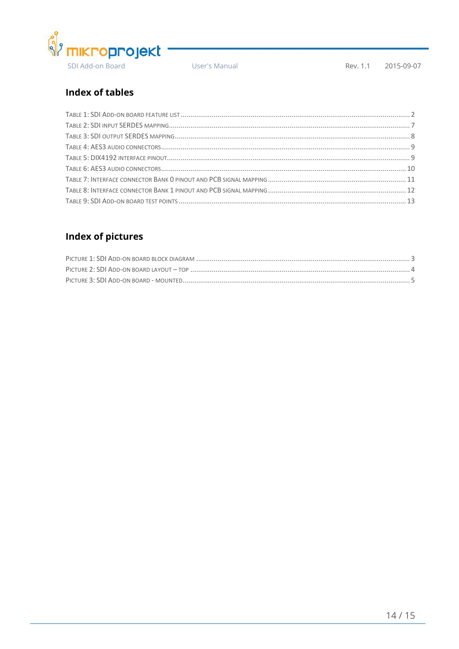

User's Manual

Rev. 1.1 2015-09-07

#### **Index of tables**

#### **Index of pictures**